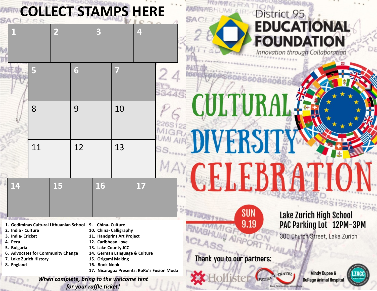|                                                                                                                                                                                          | <b>COLLECT STAMPS HERE</b>               |                         |                                                                                                                                                                                                                                                      |    |    |  | <b>SAC</b>                 |      |      | District 95 |                                                                                        |  |
|------------------------------------------------------------------------------------------------------------------------------------------------------------------------------------------|------------------------------------------|-------------------------|------------------------------------------------------------------------------------------------------------------------------------------------------------------------------------------------------------------------------------------------------|----|----|--|----------------------------|------|------|-------------|----------------------------------------------------------------------------------------|--|
|                                                                                                                                                                                          | $\overline{2}$                           |                         |                                                                                                                                                                                                                                                      |    | 4  |  |                            |      |      |             | <b>EDUCATIONAL</b><br><b>FOUNDATION</b><br>Innovation through Collaboration            |  |
|                                                                                                                                                                                          |                                          | 6                       |                                                                                                                                                                                                                                                      |    |    |  |                            |      |      |             |                                                                                        |  |
|                                                                                                                                                                                          | 8                                        | 9                       |                                                                                                                                                                                                                                                      | 10 |    |  | CULTURA                    |      |      |             |                                                                                        |  |
|                                                                                                                                                                                          | 11                                       | 12                      |                                                                                                                                                                                                                                                      | 13 |    |  | DIVERSIT<br><b>CELEBRA</b> |      |      |             |                                                                                        |  |
| 14                                                                                                                                                                                       | 15                                       |                         | <b>16</b>                                                                                                                                                                                                                                            |    | 17 |  |                            | SUN  |      |             | Lake Zurich High School                                                                |  |
| 1. Gediminas Cultural Lithuanian School<br>2. India - Culture<br>3. India-Cricket<br>4. Peru<br>5. Bulgaria<br>6. Advocates for Community Change<br>7. Lake Zurich History<br>8. England |                                          |                         | <b>China-Culture</b><br>9.<br>10. China- Calligraphy<br>11. Handprint Art Project<br>12. Caribbean Love<br>13. Lake County JCC<br>14. German Language & Culture<br>15. Origami Making<br>16. Book Nook<br>17. Nicaragua Presents: RoRo's Fusion Moda |    |    |  | Thank you to our partners: | 9.19 |      | TRAVEL      | PAC Parking Lot 12PM-3PM<br>300 Church Street, Lake Zurich<br><b>Mindy Dupee &amp;</b> |  |
|                                                                                                                                                                                          | When complete, bring to the welcome tent | for your raffle ticket! |                                                                                                                                                                                                                                                      |    |    |  |                            |      | PETR |             | <b>DuPage Animal Hospital</b>                                                          |  |